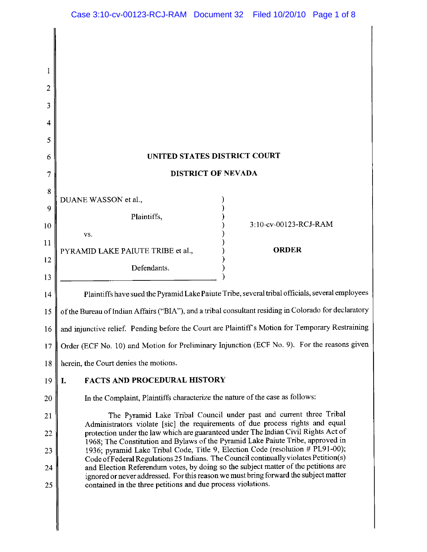| 2        |                                                                                                                                                                            |                                                                     |  |  |  |  |  |  |  |
|----------|----------------------------------------------------------------------------------------------------------------------------------------------------------------------------|---------------------------------------------------------------------|--|--|--|--|--|--|--|
| 3        |                                                                                                                                                                            |                                                                     |  |  |  |  |  |  |  |
| 4        |                                                                                                                                                                            |                                                                     |  |  |  |  |  |  |  |
| 5        |                                                                                                                                                                            |                                                                     |  |  |  |  |  |  |  |
| 6        | UNITED STATES DISTRICT COURT                                                                                                                                               |                                                                     |  |  |  |  |  |  |  |
| 7        | DISTRICT OF NEVADA                                                                                                                                                         |                                                                     |  |  |  |  |  |  |  |
| 8        | DUANE WASSON et al.,                                                                                                                                                       |                                                                     |  |  |  |  |  |  |  |
| 9        | Plaintiffs,                                                                                                                                                                | 3:10-cv-00123-RCJ-RAM                                               |  |  |  |  |  |  |  |
| 10       | VS.                                                                                                                                                                        |                                                                     |  |  |  |  |  |  |  |
| 11       | PYRAMID LAKE PAIUTE TRIBE et al.,                                                                                                                                          | <b>ORDER</b>                                                        |  |  |  |  |  |  |  |
| 12<br>13 | Defendants.                                                                                                                                                                |                                                                     |  |  |  |  |  |  |  |
| 14       | Plaintiffs have sued the Pyramid Lake Paiute Tribe, several tribal officials, several employees                                                                            |                                                                     |  |  |  |  |  |  |  |
| 15       | of the Bureau of Indian Affairs ("BIA"), and a tribal consultant residing in Colorado for declaratory                                                                      |                                                                     |  |  |  |  |  |  |  |
| 16       | and injunctive relief. Pending before the Court are Plaintiff's Motion for Temporary Restraining                                                                           |                                                                     |  |  |  |  |  |  |  |
| 17       | Order (ECF No. 10) and Motion for Preliminary Injunction (ECF No. 9). For the reasons given                                                                                |                                                                     |  |  |  |  |  |  |  |
| 18       | herein, the Court denies the motions.                                                                                                                                      |                                                                     |  |  |  |  |  |  |  |
| 19       | <b>FACTS AND PROCEDURAL HISTORY</b><br>I.                                                                                                                                  |                                                                     |  |  |  |  |  |  |  |
| 20       | In the Complaint, Plaintiffs characterize the nature of the case as follows:                                                                                               |                                                                     |  |  |  |  |  |  |  |
| 21       |                                                                                                                                                                            | The Pyramid Lake Tribal Council under past and current three Tribal |  |  |  |  |  |  |  |
| 22       | Administrators violate [sic] the requirements of due process rights and equal<br>protection under the law which are guaranteed under The Indian Civil Rights Act of        |                                                                     |  |  |  |  |  |  |  |
| 23       | 1968; The Constitution and Bylaws of the Pyramid Lake Paiute Tribe, approved in<br>1936; pyramid Lake Tribal Code, Title 9, Election Code (resolution # PL91-00);          |                                                                     |  |  |  |  |  |  |  |
| 24       | Code of Federal Regulations 25 Indians. The Council continually violates Petition(s)<br>and Election Referendum votes, by doing so the subject matter of the petitions are |                                                                     |  |  |  |  |  |  |  |
| 25       | ignored or never addressed. For this reason we must bring forward the subject matter<br>contained in the three petitions and due process violations.                       |                                                                     |  |  |  |  |  |  |  |
|          |                                                                                                                                                                            |                                                                     |  |  |  |  |  |  |  |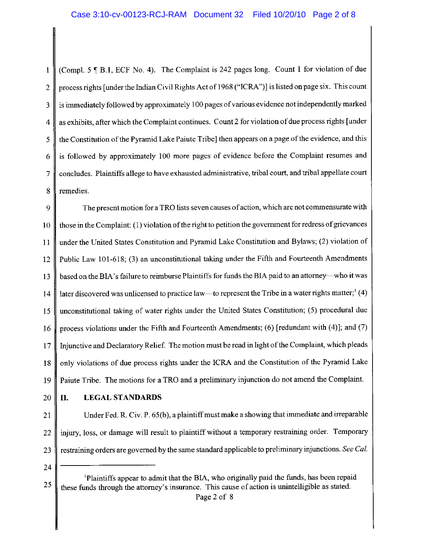(Compl. 5 ¶ B.1, ECF No. 4). The Complaint is 242 pages long. Count 1 for violation of due  $\mathbf{1}$ process rights [under the Indian Civil Rights Act of 1968 ("ICRA")] is listed on page six. This count  $\overline{2}$ is immediately followed by approximately 100 pages of various evidence not independently marked  $\overline{3}$ as exhibits, after which the Complaint continues. Count 2 for violation of due process rights [under  $\overline{\mathbf{4}}$ the Constitution of the Pyramid Lake Paiute Tribe] then appears on a page of the evidence, and this 5 is followed by approximately 100 more pages of evidence before the Complaint resumes and 6  $\overline{\tau}$ concludes. Plaintiffs allege to have exhausted administrative, tribal court, and tribal appellate court 8 remedies.

The present motion for a TRO lists seven causes of action, which are not commensurate with 9 those in the Complaint: (1) violation of the right to petition the government for redress of grievances 10 under the United States Constitution and Pyramid Lake Constitution and Bylaws; (2) violation of 11 Public Law 101-618; (3) an unconstitutional taking under the Fifth and Fourteenth Amendments 12 based on the BIA's failure to reimburse Plaintiffs for funds the BIA paid to an attorney—who it was 13 later discovered was unlicensed to practice law—to represent the Tribe in a water rights matter;  $(4)$  $14$ unconstitutional taking of water rights under the United States Constitution; (5) procedural due 15 process violations under the Fifth and Fourteenth Amendments; (6) [redundant with (4)]; and (7) 16 Injunctive and Declaratory Relief. The motion must be read in light of the Complaint, which pleads  $17$ only violations of due process rights under the ICRA and the Constitution of the Pyramid Lake 18 Paiute Tribe. The motions for a TRO and a preliminary injunction do not amend the Complaint. 19

20

II.

## **LEGAL STANDARDS**

Under Fed. R. Civ. P. 65(b), a plaintiff must make a showing that immediate and irreparable 21 injury, loss, or damage will result to plaintiff without a temporary restraining order. Temporary 22 restraining orders are governed by the same standard applicable to preliminary injunctions. See Cal. 23

24

<sup>&</sup>lt;sup>1</sup>Plaintiffs appear to admit that the BIA, who originally paid the funds, has been repaid 25 these funds through the attorney's insurance. This cause of action is unintelligible as stated.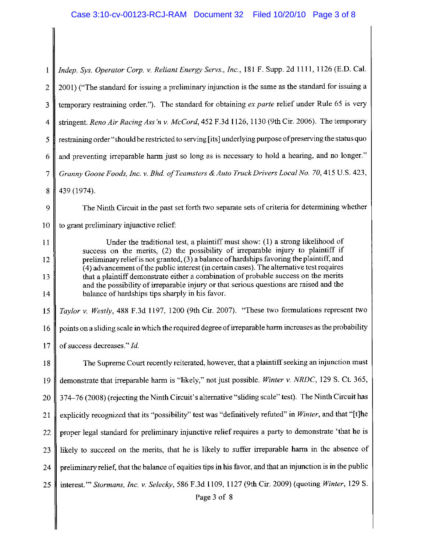| Indep. Sys. Operator Corp. v. Reliant Energy Servs., Inc., 181 F. Supp. 2d 1111, 1126 (E.D. Cal.                                                                                      |  |  |  |  |  |  |
|---------------------------------------------------------------------------------------------------------------------------------------------------------------------------------------|--|--|--|--|--|--|
| 2001) ("The standard for issuing a preliminary injunction is the same as the standard for issuing a                                                                                   |  |  |  |  |  |  |
| temporary restraining order."). The standard for obtaining ex parte relief under Rule 65 is very                                                                                      |  |  |  |  |  |  |
| stringent. Reno Air Racing Ass'n v. McCord, 452 F.3d 1126, 1130 (9th Cir. 2006). The temporary                                                                                        |  |  |  |  |  |  |
| restraining order "should be restricted to serving [its] underlying purpose of preserving the status quo                                                                              |  |  |  |  |  |  |
| and preventing irreparable harm just so long as is necessary to hold a hearing, and no longer."                                                                                       |  |  |  |  |  |  |
| Granny Goose Foods, Inc. v. Bhd. of Teamsters & Auto Truck Drivers Local No. 70, 415 U.S. 423,                                                                                        |  |  |  |  |  |  |
| 439 (1974).                                                                                                                                                                           |  |  |  |  |  |  |
| The Ninth Circuit in the past set forth two separate sets of criteria for determining whether                                                                                         |  |  |  |  |  |  |
| to grant preliminary injunctive relief:                                                                                                                                               |  |  |  |  |  |  |
| Under the traditional test, a plaintiff must show: (1) a strong likelihood of<br>success on the merits, (2) the possibility of irreparable injury to plaintiff if                     |  |  |  |  |  |  |
| preliminary relief is not granted, (3) a balance of hardships favoring the plaintiff, and<br>(4) advancement of the public interest (in certain cases). The alternative test requires |  |  |  |  |  |  |
| that a plaintiff demonstrate either a combination of probable success on the merits<br>and the possibility of irreparable injury or that serious questions are raised and the         |  |  |  |  |  |  |
| balance of hardships tips sharply in his favor.                                                                                                                                       |  |  |  |  |  |  |
| Taylor v. Westly, 488 F.3d 1197, 1200 (9th Cir. 2007). "These two formulations represent two                                                                                          |  |  |  |  |  |  |
| points on a sliding scale in which the required degree of irreparable harm increases as the probability                                                                               |  |  |  |  |  |  |
| of success decreases." Id.                                                                                                                                                            |  |  |  |  |  |  |
| The Supreme Court recently reiterated, however, that a plaintiff seeking an injunction must                                                                                           |  |  |  |  |  |  |
| demonstrate that irreparable harm is "likely," not just possible. Winter v. NRDC, 129 S. Ct. 365,                                                                                     |  |  |  |  |  |  |
| 374–76 (2008) (rejecting the Ninth Circuit's alternative "sliding scale" test). The Ninth Circuit has                                                                                 |  |  |  |  |  |  |
| explicitly recognized that its "possibility" test was "definitively refuted" in Winter, and that "[t]he                                                                               |  |  |  |  |  |  |
| proper legal standard for preliminary injunctive relief requires a party to demonstrate 'that he is                                                                                   |  |  |  |  |  |  |
| likely to succeed on the merits, that he is likely to suffer irreparable harm in the absence of                                                                                       |  |  |  |  |  |  |
| preliminary relief, that the balance of equities tips in his favor, and that an injunction is in the public                                                                           |  |  |  |  |  |  |
| interest." Stormans, Inc. v. Selecky, 586 F.3d 1109, 1127 (9th Cir. 2009) (quoting Winter, 129 S.<br>Page 3 of 8                                                                      |  |  |  |  |  |  |
|                                                                                                                                                                                       |  |  |  |  |  |  |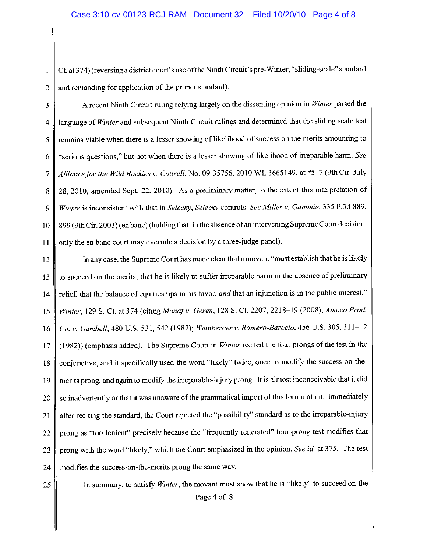Ct. at 374) (reversing a district court's use of the Ninth Circuit's pre-Winter, "sliding-scale" standard  $\mathbf{1}$ and remanding for application of the proper standard).  $\overline{2}$ 

A recent Ninth Circuit ruling relying largely on the dissenting opinion in Winter parsed the 3 language of Winter and subsequent Ninth Circuit rulings and determined that the sliding scale test 4 remains viable when there is a lesser showing of likelihood of success on the merits amounting to 5 "serious questions." but not when there is a lesser showing of likelihood of irreparable harm. See 6 Alliance for the Wild Rockies v. Cottrell, No. 09-35756, 2010 WL 3665149, at \*5-7 (9th Cir. July  $\overline{7}$ 28, 2010, amended Sept. 22, 2010). As a preliminary matter, to the extent this interpretation of 8 Winter is inconsistent with that in Selecky, Selecky controls. See Miller v. Gammie, 335 F.3d 889, 9 899 (9th Cir. 2003) (en banc) (holding that, in the absence of an intervening Supreme Court decision,  $10$ only the en banc court may overrule a decision by a three-judge panel). 11

In any case, the Supreme Court has made clear that a movant "must establish that he is likely 12 to succeed on the merits, that he is likely to suffer irreparable harm in the absence of preliminary 13 relief, that the balance of equities tips in his favor, and that an injunction is in the public interest."  $14$ Winter, 129 S. Ct. at 374 (citing Munaf v. Geren, 128 S. Ct. 2207, 2218-19 (2008); Amoco Prod. 15 Co. v. Gambell, 480 U.S. 531, 542 (1987); Weinberger v. Romero-Barcelo, 456 U.S. 305, 311-12 16 (1982)) (emphasis added). The Supreme Court in Winter recited the four prongs of the test in the 17 conjunctive, and it specifically used the word "likely" twice, once to modify the success-on-the-18 merits prong, and again to modify the irreparable-injury prong. It is almost inconceivable that it did 19 so inadvertently or that it was unaware of the grammatical import of this formulation. Immediately 20 after reciting the standard, the Court rejected the "possibility" standard as to the irreparable-injury 21 prong as "too lenient" precisely because the "frequently reiterated" four-prong test modifies that 22 prong with the word "likely," which the Court emphasized in the opinion. See id. at 375. The test 23 modifies the success-on-the-merits prong the same way. 24

25

In summary, to satisfy Winter, the movant must show that he is "likely" to succeed on the Page 4 of 8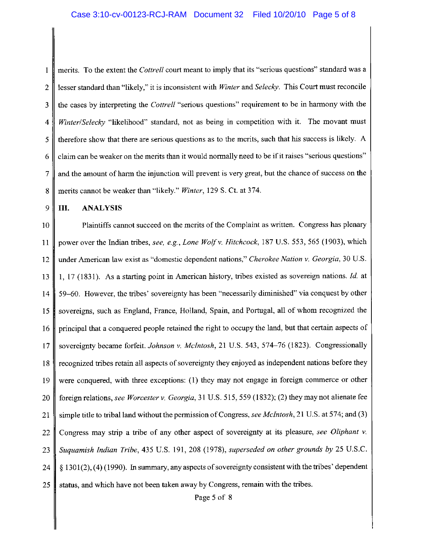merits. To the extent the Cottrell court meant to imply that its "serious questions" standard was a  $\mathbf{1}$ lesser standard than "likely," it is inconsistent with Winter and Selecky. This Court must reconcile  $\overline{2}$ the cases by interpreting the Cottrell "serious questions" requirement to be in harmony with the 3 Winter/Selecky "likelihood" standard, not as being in competition with it. The movant must 4 therefore show that there are serious questions as to the merits, such that his success is likely. A 5 claim can be weaker on the merits than it would normally need to be if it raises "serious questions" 6  $\overline{7}$ and the amount of harm the injunction will prevent is very great, but the chance of success on the 8 merits cannot be weaker than "likely." Winter, 129 S. Ct. at 374.

9 Ш. **ANALYSIS** 

10 Plaintiffs cannot succeed on the merits of the Complaint as written. Congress has plenary power over the Indian tribes, see, e.g., Lone Wolf v. Hitchcock, 187 U.S. 553, 565 (1903), which 11 under American law exist as "domestic dependent nations," Cherokee Nation v. Georgia, 30 U.S. 12 1, 17 (1831). As a starting point in American history, tribes existed as sovereign nations. *Id.* at 13 59–60. However, the tribes' sovereignty has been "necessarily diminished" via conquest by other 14 15 sovereigns, such as England, France, Holland, Spain, and Portugal, all of whom recognized the principal that a conquered people retained the right to occupy the land, but that certain aspects of 16 sovereignty became forfeit. Johnson v. McIntosh, 21 U.S. 543, 574–76 (1823). Congressionally 17 recognized tribes retain all aspects of sovereignty they enjoyed as independent nations before they 18 were conquered, with three exceptions: (1) they may not engage in foreign commerce or other 19 foreign relations, see Worcester v. Georgia, 31 U.S. 515, 559 (1832); (2) they may not alienate fee 20 simple title to tribal land without the permission of Congress, see McIntosh, 21 U.S. at 574; and (3) 21 Congress may strip a tribe of any other aspect of sovereignty at its pleasure, see Oliphant v. 22 Suguamish Indian Tribe, 435 U.S. 191, 208 (1978), superseded on other grounds by 25 U.S.C. 23  $\S$  1301(2), (4) (1990). In summary, any aspects of sovereignty consistent with the tribes' dependent 24 25 status, and which have not been taken away by Congress, remain with the tribes.

Page 5 of 8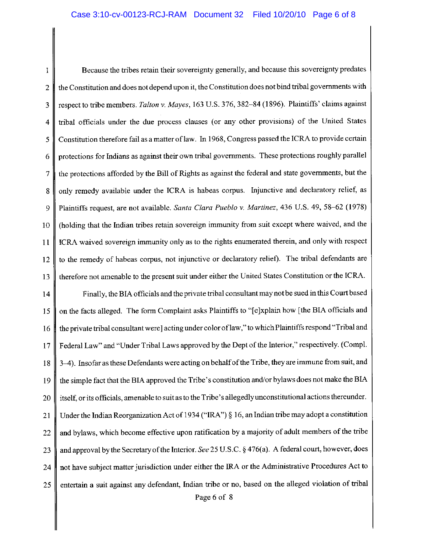Because the tribes retain their sovereignty generally, and because this sovereignty predates  $\mathbf{1}$ the Constitution and does not depend upon it, the Constitution does not bind tribal governments with  $\overline{2}$ respect to tribe members. Talton v. Mayes, 163 U.S. 376, 382-84 (1896). Plaintiffs' claims against 3 tribal officials under the due process clauses (or any other provisions) of the United States  $\overline{\mathbf{4}}$ Constitution therefore fail as a matter of law. In 1968, Congress passed the ICRA to provide certain 5 protections for Indians as against their own tribal governments. These protections roughly parallel 6 the protections afforded by the Bill of Rights as against the federal and state governments, but the  $\overline{7}$ only remedy available under the ICRA is habeas corpus. Injunctive and declaratory relief, as 8 Plaintiffs request, are not available. Santa Clara Pueblo v. Martinez, 436 U.S. 49, 58–62 (1978) 9 (holding that the Indian tribes retain sovereign immunity from suit except where waived, and the 10 ICRA waived sovereign immunity only as to the rights enumerated therein, and only with respect  $11$ to the remedy of habeas corpus, not injunctive or declaratory relief). The tribal defendants are 12 therefore not amenable to the present suit under either the United States Constitution or the ICRA. 13

Finally, the BIA officials and the private tribal consultant may not be sued in this Court based 14 on the facts alleged. The form Complaint asks Plaintiffs to "[e]xplain how [the BIA officials and 15 the private tribal consultant were] acting under color of law," to which Plaintiffs respond "Tribal and 16 Federal Law" and "Under Tribal Laws approved by the Dept of the Interior," respectively. (Compl.  $17$ 3–4). Insofar as these Defendants were acting on behalf of the Tribe, they are immune from suit, and 18 the simple fact that the BIA approved the Tribe's constitution and/or bylaws does not make the BIA 19 itself, or its officials, amenable to suit as to the Tribe's allegedly unconstitutional actions thereunder. 20 Under the Indian Reorganization Act of 1934 ("IRA")  $\S$  16, an Indian tribe may adopt a constitution 21 and bylaws, which become effective upon ratification by a majority of adult members of the tribe 22 and approval by the Secretary of the Interior. See 25 U.S.C. § 476(a). A federal court, however, does 23 not have subject matter jurisdiction under either the IRA or the Administrative Procedures Act to 24 entertain a suit against any defendant, Indian tribe or no, based on the alleged violation of tribal 25 Page 6 of 8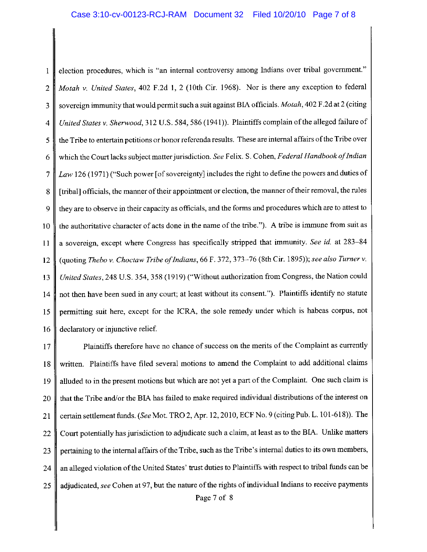election procedures, which is "an internal controversy among Indians over tribal government."  $\mathbf{1}$ Motah v. United States, 402 F.2d 1, 2 (10th Cir. 1968). Nor is there any exception to federal  $\overline{2}$ sovereign immunity that would permit such a suit against BIA officials. Motah, 402 F.2d at 2 (citing  $\overline{3}$ United States v. Sherwood, 312 U.S. 584, 586 (1941)). Plaintiffs complain of the alleged failure of  $\overline{\mathbf{4}}$ the Tribe to entertain petitions or honor referenda results. These are internal affairs of the Tribe over 5 which the Court lacks subject matter jurisdiction. See Felix. S. Cohen, Federal Handbook of Indian 6 Law 126 (1971) ("Such power [of sovereignty] includes the right to define the powers and duties of  $\overline{7}$ [tribal] officials, the manner of their appointment or election, the manner of their removal, the rules 8 they are to observe in their capacity as officials, and the forms and procedures which are to attest to 9 the authoritative character of acts done in the name of the tribe."). A tribe is immune from suit as 10 a sovereign, except where Congress has specifically stripped that immunity. See id. at 283–84 11 (quoting Thebo v. Choctaw Tribe of Indians, 66 F. 372, 373-76 (8th Cir. 1895)); see also Turner v.  $12$ 13 United States, 248 U.S. 354, 358 (1919) ("Without authorization from Congress, the Nation could not then have been sued in any court; at least without its consent."). Plaintiffs identify no statute 14 permitting suit here, except for the ICRA, the sole remedy under which is habeas corpus, not 15 declaratory or injunctive relief. 16

Plaintiffs therefore have no chance of success on the merits of the Complaint as currently 17 written. Plaintiffs have filed several motions to amend the Complaint to add additional claims 18 alluded to in the present motions but which are not yet a part of the Complaint. One such claim is 19 that the Tribe and/or the BIA has failed to make required individual distributions of the interest on 20 certain settlement funds. (See Mot. TRO 2, Apr. 12, 2010, ECF No. 9 (citing Pub. L. 101-618)). The 21 Court potentially has jurisdiction to adjudicate such a claim, at least as to the BIA. Unlike matters 22 pertaining to the internal affairs of the Tribe, such as the Tribe's internal duties to its own members, 23 an alleged violation of the United States' trust duties to Plaintiffs with respect to tribal funds can be 24 adjudicated, see Cohen at 97, but the nature of the rights of individual Indians to receive payments 25 Page 7 of 8